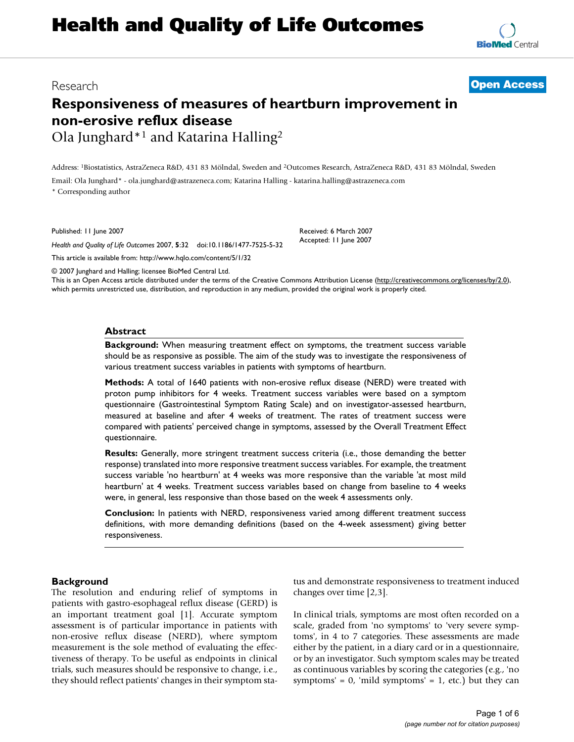# Research **[Open Access](http://www.biomedcentral.com/info/about/charter/)**

# **Responsiveness of measures of heartburn improvement in non-erosive reflux disease** Ola Junghard\*1 and Katarina Halling2

Address: 1Biostatistics, AstraZeneca R&D, 431 83 Mölndal, Sweden and 2Outcomes Research, AstraZeneca R&D, 431 83 Mölndal, Sweden

Email: Ola Junghard\* - ola.junghard@astrazeneca.com; Katarina Halling - katarina.halling@astrazeneca.com

\* Corresponding author

Published: 11 June 2007

*Health and Quality of Life Outcomes* 2007, **5**:32 doi:10.1186/1477-7525-5-32

[This article is available from: http://www.hqlo.com/content/5/1/32](http://www.hqlo.com/content/5/1/32)

© 2007 Junghard and Halling; licensee BioMed Central Ltd.

This is an Open Access article distributed under the terms of the Creative Commons Attribution License [\(http://creativecommons.org/licenses/by/2.0\)](http://creativecommons.org/licenses/by/2.0), which permits unrestricted use, distribution, and reproduction in any medium, provided the original work is properly cited.

Received: 6 March 2007 Accepted: 11 June 2007

## **Abstract**

**Background:** When measuring treatment effect on symptoms, the treatment success variable should be as responsive as possible. The aim of the study was to investigate the responsiveness of various treatment success variables in patients with symptoms of heartburn.

**Methods:** A total of 1640 patients with non-erosive reflux disease (NERD) were treated with proton pump inhibitors for 4 weeks. Treatment success variables were based on a symptom questionnaire (Gastrointestinal Symptom Rating Scale) and on investigator-assessed heartburn, measured at baseline and after 4 weeks of treatment. The rates of treatment success were compared with patients' perceived change in symptoms, assessed by the Overall Treatment Effect questionnaire.

**Results:** Generally, more stringent treatment success criteria (i.e., those demanding the better response) translated into more responsive treatment success variables. For example, the treatment success variable 'no heartburn' at 4 weeks was more responsive than the variable 'at most mild heartburn' at 4 weeks. Treatment success variables based on change from baseline to 4 weeks were, in general, less responsive than those based on the week 4 assessments only.

**Conclusion:** In patients with NERD, responsiveness varied among different treatment success definitions, with more demanding definitions (based on the 4-week assessment) giving better responsiveness.

# **Background**

The resolution and enduring relief of symptoms in patients with gastro-esophageal reflux disease (GERD) is an important treatment goal [1]. Accurate symptom assessment is of particular importance in patients with non-erosive reflux disease (NERD), where symptom measurement is the sole method of evaluating the effectiveness of therapy. To be useful as endpoints in clinical trials, such measures should be responsive to change, i.e., they should reflect patients' changes in their symptom status and demonstrate responsiveness to treatment induced changes over time [2,3].

In clinical trials, symptoms are most often recorded on a scale, graded from 'no symptoms' to 'very severe symptoms', in 4 to 7 categories. These assessments are made either by the patient, in a diary card or in a questionnaire, or by an investigator. Such symptom scales may be treated as continuous variables by scoring the categories (e.g., 'no symptoms' =  $0$ , 'mild symptoms' =  $1$ , etc.) but they can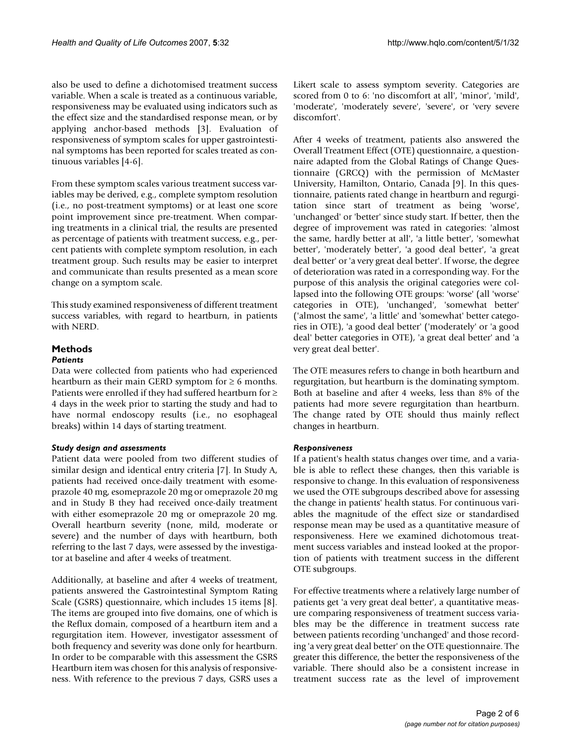also be used to define a dichotomised treatment success variable. When a scale is treated as a continuous variable, responsiveness may be evaluated using indicators such as the effect size and the standardised response mean, or by applying anchor-based methods [3]. Evaluation of responsiveness of symptom scales for upper gastrointestinal symptoms has been reported for scales treated as continuous variables [4-6].

From these symptom scales various treatment success variables may be derived, e.g., complete symptom resolution (i.e., no post-treatment symptoms) or at least one score point improvement since pre-treatment. When comparing treatments in a clinical trial, the results are presented as percentage of patients with treatment success, e.g., percent patients with complete symptom resolution, in each treatment group. Such results may be easier to interpret and communicate than results presented as a mean score change on a symptom scale.

This study examined responsiveness of different treatment success variables, with regard to heartburn, in patients with NERD.

#### **Methods** *Patients*

Data were collected from patients who had experienced heartburn as their main GERD symptom for  $\geq 6$  months. Patients were enrolled if they had suffered heartburn for ≥ 4 days in the week prior to starting the study and had to have normal endoscopy results (i.e., no esophageal breaks) within 14 days of starting treatment.

# *Study design and assessments*

Patient data were pooled from two different studies of similar design and identical entry criteria [7]. In Study A, patients had received once-daily treatment with esomeprazole 40 mg, esomeprazole 20 mg or omeprazole 20 mg and in Study B they had received once-daily treatment with either esomeprazole 20 mg or omeprazole 20 mg. Overall heartburn severity (none, mild, moderate or severe) and the number of days with heartburn, both referring to the last 7 days, were assessed by the investigator at baseline and after 4 weeks of treatment.

Additionally, at baseline and after 4 weeks of treatment, patients answered the Gastrointestinal Symptom Rating Scale (GSRS) questionnaire, which includes 15 items [8]. The items are grouped into five domains, one of which is the Reflux domain, composed of a heartburn item and a regurgitation item. However, investigator assessment of both frequency and severity was done only for heartburn. In order to be comparable with this assessment the GSRS Heartburn item was chosen for this analysis of responsiveness. With reference to the previous 7 days, GSRS uses a Likert scale to assess symptom severity. Categories are scored from 0 to 6: 'no discomfort at all', 'minor', 'mild', 'moderate', 'moderately severe', 'severe', or 'very severe discomfort'.

After 4 weeks of treatment, patients also answered the Overall Treatment Effect (OTE) questionnaire, a questionnaire adapted from the Global Ratings of Change Questionnaire (GRCQ) with the permission of McMaster University, Hamilton, Ontario, Canada [9]. In this questionnaire, patients rated change in heartburn and regurgitation since start of treatment as being 'worse', 'unchanged' or 'better' since study start. If better, then the degree of improvement was rated in categories: 'almost the same, hardly better at all', 'a little better', 'somewhat better', 'moderately better', 'a good deal better', 'a great deal better' or 'a very great deal better'. If worse, the degree of deterioration was rated in a corresponding way. For the purpose of this analysis the original categories were collapsed into the following OTE groups: 'worse' (all 'worse' categories in OTE), 'unchanged', 'somewhat better' ('almost the same', 'a little' and 'somewhat' better categories in OTE), 'a good deal better' ('moderately' or 'a good deal' better categories in OTE), 'a great deal better' and 'a very great deal better'.

The OTE measures refers to change in both heartburn and regurgitation, but heartburn is the dominating symptom. Both at baseline and after 4 weeks, less than 8% of the patients had more severe regurgitation than heartburn. The change rated by OTE should thus mainly reflect changes in heartburn.

# *Responsiveness*

If a patient's health status changes over time, and a variable is able to reflect these changes, then this variable is responsive to change. In this evaluation of responsiveness we used the OTE subgroups described above for assessing the change in patients' health status. For continuous variables the magnitude of the effect size or standardised response mean may be used as a quantitative measure of responsiveness. Here we examined dichotomous treatment success variables and instead looked at the proportion of patients with treatment success in the different OTE subgroups.

For effective treatments where a relatively large number of patients get 'a very great deal better', a quantitative measure comparing responsiveness of treatment success variables may be the difference in treatment success rate between patients recording 'unchanged' and those recording 'a very great deal better' on the OTE questionnaire. The greater this difference, the better the responsiveness of the variable. There should also be a consistent increase in treatment success rate as the level of improvement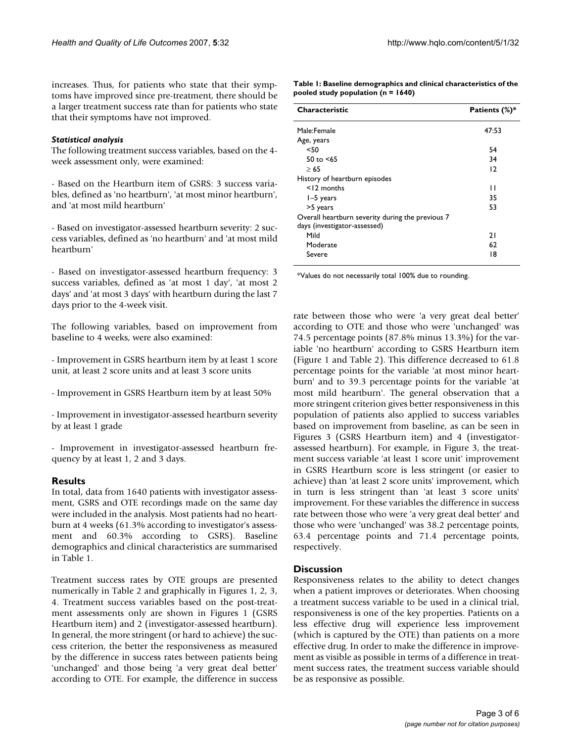increases. Thus, for patients who state that their symptoms have improved since pre-treatment, there should be a larger treatment success rate than for patients who state that their symptoms have not improved.

## *Statistical analysis*

The following treatment success variables, based on the 4 week assessment only, were examined:

- Based on the Heartburn item of GSRS: 3 success variables, defined as 'no heartburn', 'at most minor heartburn', and 'at most mild heartburn'

- Based on investigator-assessed heartburn severity: 2 success variables, defined as 'no heartburn' and 'at most mild heartburn'

- Based on investigator-assessed heartburn frequency: 3 success variables, defined as 'at most 1 day', 'at most 2 days' and 'at most 3 days' with heartburn during the last 7 days prior to the 4-week visit.

The following variables, based on improvement from baseline to 4 weeks, were also examined:

- Improvement in GSRS heartburn item by at least 1 score unit, at least 2 score units and at least 3 score units

- Improvement in GSRS Heartburn item by at least 50%

- Improvement in investigator-assessed heartburn severity by at least 1 grade

- Improvement in investigator-assessed heartburn frequency by at least 1, 2 and 3 days.

# **Results**

In total, data from 1640 patients with investigator assessment, GSRS and OTE recordings made on the same day were included in the analysis. Most patients had no heartburn at 4 weeks (61.3% according to investigator's assessment and 60.3% according to GSRS). Baseline demographics and clinical characteristics are summarised in Table 1.

Treatment success rates by OTE groups are presented numerically in Table 2 and graphically in Figures 1, 2, 3, 4. Treatment success variables based on the post-treatment assessments only are shown in Figures 1 (GSRS Heartburn item) and 2 (investigator-assessed heartburn). In general, the more stringent (or hard to achieve) the success criterion, the better the responsiveness as measured by the difference in success rates between patients being 'unchanged' and those being 'a very great deal better' according to OTE. For example, the difference in success **Table 1: Baseline demographics and clinical characteristics of the pooled study population (n = 1640)**

| <b>Characteristic</b>                                                            | Patients (%)* |
|----------------------------------------------------------------------------------|---------------|
| Male:Female                                                                      | 47:53         |
| Age, years                                                                       |               |
| $50$                                                                             | 54            |
| 50 to $< 65$                                                                     | 34            |
| >65                                                                              | 12            |
| History of heartburn episodes                                                    |               |
| $<$ 12 months                                                                    | $\mathsf{L}$  |
| $I-5$ years                                                                      | 35            |
| >5 years                                                                         | 53            |
| Overall heartburn severity during the previous 7<br>days (investigator-assessed) |               |
| Mild                                                                             | 21            |
| Moderate                                                                         | 62            |
| Severe                                                                           | 18            |

\*Values do not necessarily total 100% due to rounding.

rate between those who were 'a very great deal better' according to OTE and those who were 'unchanged' was 74.5 percentage points (87.8% minus 13.3%) for the variable 'no heartburn' according to GSRS Heartburn item (Figure 1 and Table 2). This difference decreased to 61.8 percentage points for the variable 'at most minor heartburn' and to 39.3 percentage points for the variable 'at most mild heartburn'. The general observation that a more stringent criterion gives better responsiveness in this population of patients also applied to success variables based on improvement from baseline, as can be seen in Figures 3 (GSRS Heartburn item) and 4 (investigatorassessed heartburn). For example, in Figure 3, the treatment success variable 'at least 1 score unit' improvement in GSRS Heartburn score is less stringent (or easier to achieve) than 'at least 2 score units' improvement, which in turn is less stringent than 'at least 3 score units' improvement. For these variables the difference in success rate between those who were 'a very great deal better' and those who were 'unchanged' was 38.2 percentage points, 63.4 percentage points and 71.4 percentage points, respectively.

# **Discussion**

Responsiveness relates to the ability to detect changes when a patient improves or deteriorates. When choosing a treatment success variable to be used in a clinical trial, responsiveness is one of the key properties. Patients on a less effective drug will experience less improvement (which is captured by the OTE) than patients on a more effective drug. In order to make the difference in improvement as visible as possible in terms of a difference in treatment success rates, the treatment success variable should be as responsive as possible.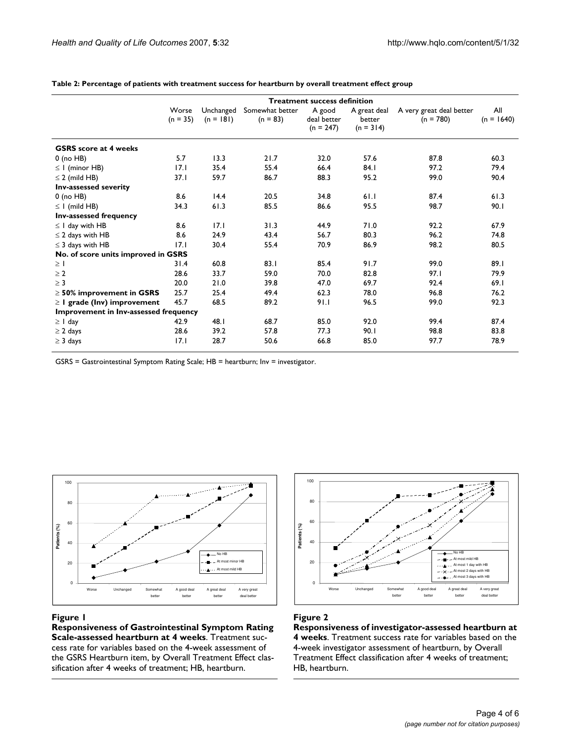|                                       | <b>Treatment success definition</b> |                          |                               |                                      |                                       |                                         |                     |  |
|---------------------------------------|-------------------------------------|--------------------------|-------------------------------|--------------------------------------|---------------------------------------|-----------------------------------------|---------------------|--|
|                                       | Worse<br>$(n = 35)$                 | Unchanged<br>$(n = 181)$ | Somewhat better<br>$(n = 83)$ | A good<br>deal better<br>$(n = 247)$ | A great deal<br>better<br>$(n = 314)$ | A very great deal better<br>$(n = 780)$ | All<br>$(n = 1640)$ |  |
| <b>GSRS</b> score at 4 weeks          |                                     |                          |                               |                                      |                                       |                                         |                     |  |
| $0$ (no HB)                           | 5.7                                 | 13.3                     | 21.7                          | 32.0                                 | 57.6                                  | 87.8                                    | 60.3                |  |
| $\leq$ 1 (minor HB)                   | 17.1                                | 35.4                     | 55.4                          | 66.4                                 | 84.1                                  | 97.2                                    | 79.4                |  |
| $\leq$ 2 (mild HB)                    | 37.1                                | 59.7                     | 86.7                          | 88.3                                 | 95.2                                  | 99.0                                    | 90.4                |  |
| Inv-assessed severity                 |                                     |                          |                               |                                      |                                       |                                         |                     |  |
| $0$ (no HB)                           | 8.6                                 | 14.4                     | 20.5                          | 34.8                                 | 61.1                                  | 87.4                                    | 61.3                |  |
| $\leq$ 1 (mild HB)                    | 34.3                                | 61.3                     | 85.5                          | 86.6                                 | 95.5                                  | 98.7                                    | 90.1                |  |
| <b>Inv-assessed frequency</b>         |                                     |                          |                               |                                      |                                       |                                         |                     |  |
| $\leq$ 1 day with HB                  | 8.6                                 | 17.1                     | 31.3                          | 44.9                                 | 71.0                                  | 92.2                                    | 67.9                |  |
| $\leq$ 2 days with HB                 | 8.6                                 | 24.9                     | 43.4                          | 56.7                                 | 80.3                                  | 96.2                                    | 74.8                |  |
| $\leq$ 3 days with HB                 | 17.1                                | 30.4                     | 55.4                          | 70.9                                 | 86.9                                  | 98.2                                    | 80.5                |  |
| No. of score units improved in GSRS   |                                     |                          |                               |                                      |                                       |                                         |                     |  |
| $\geq$ 1                              | 31.4                                | 60.8                     | 83.1                          | 85.4                                 | 91.7                                  | 99.0                                    | 89.1                |  |
| $\geq 2$                              | 28.6                                | 33.7                     | 59.0                          | 70.0                                 | 82.8                                  | 97.1                                    | 79.9                |  |
| $\geq$ 3                              | 20.0                                | 21.0                     | 39.8                          | 47.0                                 | 69.7                                  | 92.4                                    | 69.1                |  |
| $\geq$ 50% improvement in GSRS        | 25.7                                | 25.4                     | 49.4                          | 62.3                                 | 78.0                                  | 96.8                                    | 76.2                |  |
| $\geq$ I grade (lnv) improvement      | 45.7                                | 68.5                     | 89.2                          | 91.1                                 | 96.5                                  | 99.0                                    | 92.3                |  |
| Improvement in Inv-assessed frequency |                                     |                          |                               |                                      |                                       |                                         |                     |  |
| $\geq$ 1 day                          | 42.9                                | 48.1                     | 68.7                          | 85.0                                 | 92.0                                  | 99.4                                    | 87.4                |  |
| $\geq$ 2 days                         | 28.6                                | 39.2                     | 57.8                          | 77.3                                 | 90.1                                  | 98.8                                    | 83.8                |  |
| $\geq$ 3 days                         | 17.1                                | 28.7                     | 50.6                          | 66.8                                 | 85.0                                  | 97.7                                    | 78.9                |  |

**Table 2: Percentage of patients with treatment success for heartburn by overall treatment effect group**

GSRS = Gastrointestinal Symptom Rating Scale; HB = heartburn; Inv = investigator.



## **Figure 1**

**Responsiveness of Gastrointestinal Symptom Rating Scale-assessed heartburn at 4 weeks**. Treatment success rate for variables based on the 4-week assessment of the GSRS Heartburn item, by Overall Treatment Effect classification after 4 weeks of treatment; HB, heartburn.



# Figure 2

**Responsiveness of investigator-assessed heartburn at 4 weeks**. Treatment success rate for variables based on the 4-week investigator assessment of heartburn, by Overall Treatment Effect classification after 4 weeks of treatment; HB, heartburn.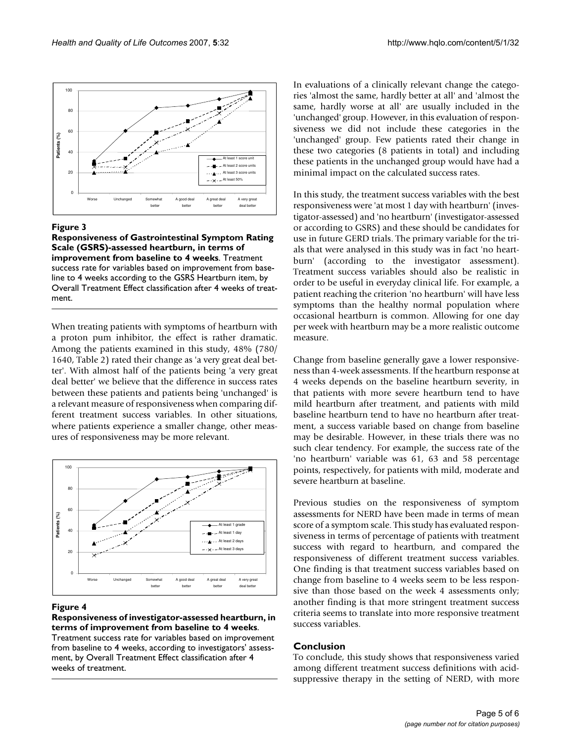

## Figure 3

**Responsiveness of Gastrointestinal Symptom Rating Scale (GSRS)-assessed heartburn, in terms of improvement from baseline to 4 weeks**. Treatment success rate for variables based on improvement from baseline to 4 weeks according to the GSRS Heartburn item, by Overall Treatment Effect classification after 4 weeks of treatment.

When treating patients with symptoms of heartburn with a proton pum inhibitor, the effect is rather dramatic. Among the patients examined in this study, 48% (780/ 1640, Table 2) rated their change as 'a very great deal better'. With almost half of the patients being 'a very great deal better' we believe that the difference in success rates between these patients and patients being 'unchanged' is a relevant measure of responsiveness when comparing different treatment success variables. In other situations, where patients experience a smaller change, other measures of responsiveness may be more relevant.



#### Figure 4

#### **Responsiveness of investigator-assessed heartburn, in terms of improvement from baseline to 4 weeks**.

Treatment success rate for variables based on improvement from baseline to 4 weeks, according to investigators' assessment, by Overall Treatment Effect classification after 4 weeks of treatment.

In evaluations of a clinically relevant change the categories 'almost the same, hardly better at all' and 'almost the same, hardly worse at all' are usually included in the 'unchanged' group. However, in this evaluation of responsiveness we did not include these categories in the 'unchanged' group. Few patients rated their change in these two categories (8 patients in total) and including these patients in the unchanged group would have had a minimal impact on the calculated success rates.

In this study, the treatment success variables with the best responsiveness were 'at most 1 day with heartburn' (investigator-assessed) and 'no heartburn' (investigator-assessed or according to GSRS) and these should be candidates for use in future GERD trials. The primary variable for the trials that were analysed in this study was in fact 'no heartburn' (according to the investigator assessment). Treatment success variables should also be realistic in order to be useful in everyday clinical life. For example, a patient reaching the criterion 'no heartburn' will have less symptoms than the healthy normal population where occasional heartburn is common. Allowing for one day per week with heartburn may be a more realistic outcome measure.

Change from baseline generally gave a lower responsiveness than 4-week assessments. If the heartburn response at 4 weeks depends on the baseline heartburn severity, in that patients with more severe heartburn tend to have mild heartburn after treatment, and patients with mild baseline heartburn tend to have no heartburn after treatment, a success variable based on change from baseline may be desirable. However, in these trials there was no such clear tendency. For example, the success rate of the 'no heartburn' variable was 61, 63 and 58 percentage points, respectively, for patients with mild, moderate and severe heartburn at baseline.

Previous studies on the responsiveness of symptom assessments for NERD have been made in terms of mean score of a symptom scale. This study has evaluated responsiveness in terms of percentage of patients with treatment success with regard to heartburn, and compared the responsiveness of different treatment success variables. One finding is that treatment success variables based on change from baseline to 4 weeks seem to be less responsive than those based on the week 4 assessments only; another finding is that more stringent treatment success criteria seems to translate into more responsive treatment success variables.

# **Conclusion**

To conclude, this study shows that responsiveness varied among different treatment success definitions with acidsuppressive therapy in the setting of NERD, with more